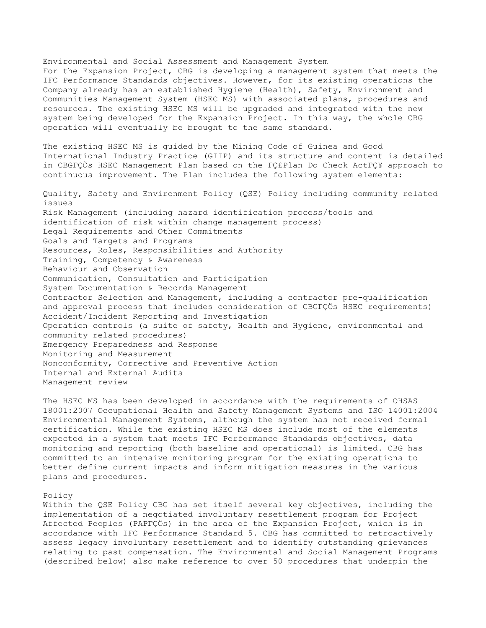Environmental and Social Assessment and Management System For the Expansion Project, CBG is developing a management system that meets the IFC Performance Standards objectives. However, for its existing operations the Company already has an established Hygiene (Health), Safety, Environment and Communities Management System (HSEC MS) with associated plans, procedures and resources. The existing HSEC MS will be upgraded and integrated with the new system being developed for the Expansion Project. In this way, the whole CBG operation will eventually be brought to the same standard.

The existing HSEC MS is guided by the Mining Code of Guinea and Good International Industry Practice (GIIP) and its structure and content is detailed in CBGΓÇÖs HSEC Management Plan based on the ΓÇ£Plan Do Check ActΓÇ¥ approach to continuous improvement. The Plan includes the following system elements:

Quality, Safety and Environment Policy (QSE) Policy including community related issues Risk Management (including hazard identification process/tools and identification of risk within change management process) Legal Requirements and Other Commitments Goals and Targets and Programs Resources, Roles, Responsibilities and Authority Training, Competency & Awareness Behaviour and Observation Communication, Consultation and Participation System Documentation & Records Management Contractor Selection and Management, including a contractor pre-qualification and approval process that includes consideration of CBGΓÇÖs HSEC requirements) Accident/Incident Reporting and Investigation Operation controls (a suite of safety, Health and Hygiene, environmental and community related procedures) Emergency Preparedness and Response Monitoring and Measurement Nonconformity, Corrective and Preventive Action Internal and External Audits Management review

The HSEC MS has been developed in accordance with the requirements of OHSAS 18001:2007 Occupational Health and Safety Management Systems and ISO 14001:2004 Environmental Management Systems, although the system has not received formal certification. While the existing HSEC MS does include most of the elements expected in a system that meets IFC Performance Standards objectives, data monitoring and reporting (both baseline and operational) is limited. CBG has committed to an intensive monitoring program for the existing operations to better define current impacts and inform mitigation measures in the various plans and procedures.

#### Policy

Within the QSE Policy CBG has set itself several key objectives, including the implementation of a negotiated involuntary resettlement program for Project Affected Peoples (PAPΓÇÖs) in the area of the Expansion Project, which is in accordance with IFC Performance Standard 5. CBG has committed to retroactively assess legacy involuntary resettlement and to identify outstanding grievances relating to past compensation. The Environmental and Social Management Programs (described below) also make reference to over 50 procedures that underpin the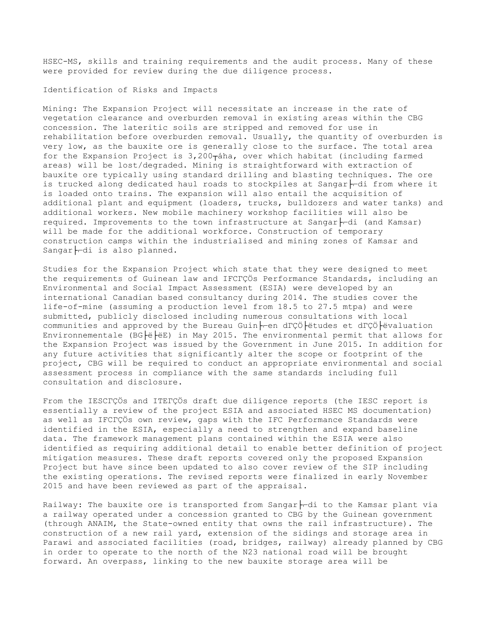HSEC-MS, skills and training requirements and the audit process. Many of these were provided for review during the due diligence process.

## Identification of Risks and Impacts

Mining: The Expansion Project will necessitate an increase in the rate of vegetation clearance and overburden removal in existing areas within the CBG concession. The lateritic soils are stripped and removed for use in rehabilitation before overburden removal. Usually, the quantity of overburden is very low, as the bauxite ore is generally close to the surface. The total area for the Expansion Project is  $3,200$ <sub>T</sub>áha, over which habitat (including farmed areas) will be lost/degraded. Mining is straightforward with extraction of bauxite ore typically using standard drilling and blasting techniques. The ore is trucked along dedicated haul roads to stockpiles at Sangar $\vdash$  $\vdash$ di from where it is loaded onto trains. The expansion will also entail the acquisition of additional plant and equipment (loaders, trucks, bulldozers and water tanks) and additional workers. New mobile machinery workshop facilities will also be required. Improvements to the town infrastructure at Sangar $\vdash$  $\vdash$ di (and Kamsar) will be made for the additional workforce. Construction of temporary construction camps within the industrialised and mining zones of Kamsar and Sangar $\vdash\neg$ di is also planned.

Studies for the Expansion Project which state that they were designed to meet the requirements of Guinean law and IFCΓÇÖs Performance Standards, including an Environmental and Social Impact Assessment (ESIA) were developed by an international Canadian based consultancy during 2014. The studies cover the life-of-mine (assuming a production level from 18.5 to 27.5 mtpa) and were submitted, publicly disclosed including numerous consultations with local communities and approved by the Bureau Guin Fren dΓÇÖ Fetudes et dΓÇÖ Fevaluation Environnementale (BG|ë|ëE) in May 2015. The environmental permit that allows for the Expansion Project was issued by the Government in June 2015. In addition for any future activities that significantly alter the scope or footprint of the project, CBG will be required to conduct an appropriate environmental and social assessment process in compliance with the same standards including full consultation and disclosure.

From the IESCΓÇÖs and ITEΓÇÖs draft due diligence reports (the IESC report is essentially a review of the project ESIA and associated HSEC MS documentation) as well as IFCΓÇÖs own review, gaps with the IFC Performance Standards were identified in the ESIA, especially a need to strengthen and expand baseline data. The framework management plans contained within the ESIA were also identified as requiring additional detail to enable better definition of project mitigation measures. These draft reports covered only the proposed Expansion Project but have since been updated to also cover review of the SIP including the existing operations. The revised reports were finalized in early November 2015 and have been reviewed as part of the appraisal.

Railway: The bauxite ore is transported from Sangar $\vdash$ rdi to the Kamsar plant via a railway operated under a concession granted to CBG by the Guinean government (through ANAIM, the State-owned entity that owns the rail infrastructure). The construction of a new rail yard, extension of the sidings and storage area in Parawi and associated facilities (road, bridges, railway) already planned by CBG in order to operate to the north of the N23 national road will be brought forward. An overpass, linking to the new bauxite storage area will be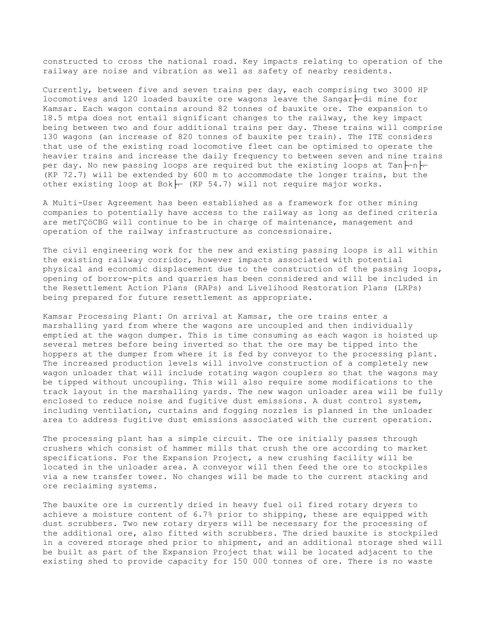constructed to cross the national road. Key impacts relating to operation of the railway are noise and vibration as well as safety of nearby residents.

Currently, between five and seven trains per day, each comprising two 3000 HP locomotives and 120 loaded bauxite ore wagons leave the Sangar $\vdash$  $\vdash$ di mine for Kamsar. Each wagon contains around 82 tonnes of bauxite ore. The expansion to 18.5 mtpa does not entail significant changes to the railway, the key impact being between two and four additional trains per day. These trains will comprise 130 wagons (an increase of 820 tonnes of bauxite per train). The ITE considers that use of the existing road locomotive fleet can be optimised to operate the heavier trains and increase the daily frequency to between seven and nine trains per day. No new passing loops are required but the existing loops at Tan $\nvdash\neg$ (KP 72.7) will be extended by 600 m to accommodate the longer trains, but the other existing loop at Bok $\models$  (KP 54.7) will not require major works.

A Multi-User Agreement has been established as a framework for other mining companies to potentially have access to the railway as long as defined criteria are metΓÇöCBG will continue to be in charge of maintenance, management and operation of the railway infrastructure as concessionaire.

The civil engineering work for the new and existing passing loops is all within the existing railway corridor, however impacts associated with potential physical and economic displacement due to the construction of the passing loops, opening of borrow-pits and quarries has been considered and will be included in the Resettlement Action Plans (RAPs) and Livelihood Restoration Plans (LRPs) being prepared for future resettlement as appropriate.

Kamsar Processing Plant: On arrival at Kamsar, the ore trains enter a marshalling yard from where the wagons are uncoupled and then individually emptied at the wagon dumper. This is time consuming as each wagon is hoisted up several metres before being inverted so that the ore may be tipped into the hoppers at the dumper from where it is fed by conveyor to the processing plant. The increased production levels will involve construction of a completely new wagon unloader that will include rotating wagon couplers so that the wagons may be tipped without uncoupling. This will also require some modifications to the track layout in the marshalling yards. The new wagon unloader area will be fully enclosed to reduce noise and fugitive dust emissions. A dust control system, including ventilation, curtains and fogging nozzles is planned in the unloader area to address fugitive dust emissions associated with the current operation.

The processing plant has a simple circuit. The ore initially passes through crushers which consist of hammer mills that crush the ore according to market specifications. For the Expansion Project, a new crushing facility will be located in the unloader area. A conveyor will then feed the ore to stockpiles via a new transfer tower. No changes will be made to the current stacking and ore reclaiming systems.

The bauxite ore is currently dried in heavy fuel oil fired rotary dryers to achieve a moisture content of 6.7% prior to shipping, these are equipped with dust scrubbers. Two new rotary dryers will be necessary for the processing of the additional ore, also fitted with scrubbers. The dried bauxite is stockpiled in a covered storage shed prior to shipment, and an additional storage shed will be built as part of the Expansion Project that will be located adjacent to the existing shed to provide capacity for 150 000 tonnes of ore. There is no waste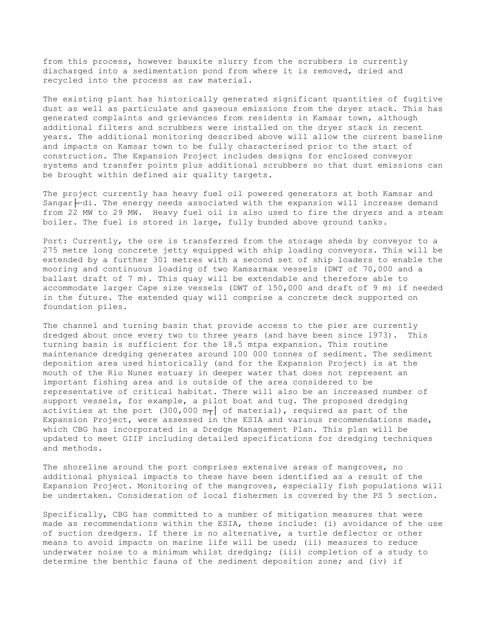from this process, however bauxite slurry from the scrubbers is currently discharged into a sedimentation pond from where it is removed, dried and recycled into the process as raw material.

The existing plant has historically generated significant quantities of fugitive dust as well as particulate and gaseous emissions from the dryer stack. This has generated complaints and grievances from residents in Kamsar town, although additional filters and scrubbers were installed on the dryer stack in recent years. The additional monitoring described above will allow the current baseline and impacts on Kamsar town to be fully characterised prior to the start of construction. The Expansion Project includes designs for enclosed conveyor systems and transfer points plus additional scrubbers so that dust emissions can be brought within defined air quality targets.

The project currently has heavy fuel oil powered generators at both Kamsar and Sangar $\vdash_{r}$ di. The energy needs associated with the expansion will increase demand from 22 MW to 29 MW. Heavy fuel oil is also used to fire the dryers and a steam boiler. The fuel is stored in large, fully bunded above ground tanks.

Port: Currently, the ore is transferred from the storage sheds by conveyor to a 275 metre long concrete jetty equipped with ship loading conveyors. This will be extended by a further 301 metres with a second set of ship loaders to enable the mooring and continuous loading of two Kamsarmax vessels (DWT of 70,000 and a ballast draft of 7 m). This quay will be extendable and therefore able to accommodate larger Cape size vessels (DWT of 150,000 and draft of 9 m) if needed in the future. The extended quay will comprise a concrete deck supported on foundation piles.

The channel and turning basin that provide access to the pier are currently dredged about once every two to three years (and have been since 1973). This turning basin is sufficient for the 18.5 mtpa expansion. This routine maintenance dredging generates around 100 000 tonnes of sediment. The sediment deposition area used historically (and for the Expansion Project) is at the mouth of the Rio Nunez estuary in deeper water that does not represent an important fishing area and is outside of the area considered to be representative of critical habitat. There will also be an increased number of support vessels, for example, a pilot boat and tug. The proposed dredging activities at the port (300,000  $m<sub>T</sub>$ ) of material), required as part of the Expansion Project, were assessed in the ESIA and various recommendations made, which CBG has incorporated in a Dredge Management Plan. This plan will be updated to meet GIIP including detailed specifications for dredging techniques and methods.

The shoreline around the port comprises extensive areas of mangroves, no additional physical impacts to these have been identified as a result of the Expansion Project. Monitoring of the mangroves, especially fish populations will be undertaken. Consideration of local fishermen is covered by the PS 5 section.

Specifically, CBG has committed to a number of mitigation measures that were made as recommendations within the ESIA, these include: (i) avoidance of the use of suction dredgers. If there is no alternative, a turtle deflector or other means to avoid impacts on marine life will be used; (ii) measures to reduce underwater noise to a minimum whilst dredging; (iii) completion of a study to determine the benthic fauna of the sediment deposition zone; and (iv) if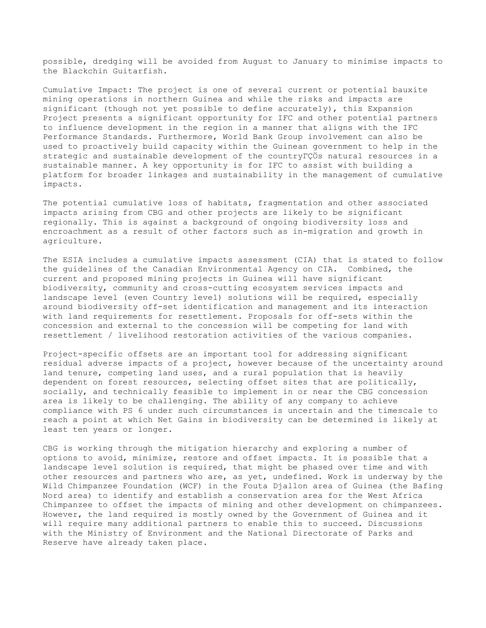possible, dredging will be avoided from August to January to minimise impacts to the Blackchin Guitarfish.

Cumulative Impact: The project is one of several current or potential bauxite mining operations in northern Guinea and while the risks and impacts are significant (though not yet possible to define accurately), this Expansion Project presents a significant opportunity for IFC and other potential partners to influence development in the region in a manner that aligns with the IFC Performance Standards. Furthermore, World Bank Group involvement can also be used to proactively build capacity within the Guinean government to help in the strategic and sustainable development of the countryΓÇÖs natural resources in a sustainable manner. A key opportunity is for IFC to assist with building a platform for broader linkages and sustainability in the management of cumulative impacts.

The potential cumulative loss of habitats, fragmentation and other associated impacts arising from CBG and other projects are likely to be significant regionally. This is against a background of ongoing biodiversity loss and encroachment as a result of other factors such as in-migration and growth in agriculture.

The ESIA includes a cumulative impacts assessment (CIA) that is stated to follow the guidelines of the Canadian Environmental Agency on CIA. Combined, the current and proposed mining projects in Guinea will have significant biodiversity, community and cross-cutting ecosystem services impacts and landscape level (even Country level) solutions will be required, especially around biodiversity off-set identification and management and its interaction with land requirements for resettlement. Proposals for off-sets within the concession and external to the concession will be competing for land with resettlement / livelihood restoration activities of the various companies.

Project-specific offsets are an important tool for addressing significant residual adverse impacts of a project, however because of the uncertainty around land tenure, competing land uses, and a rural population that is heavily dependent on forest resources, selecting offset sites that are politically, socially, and technically feasible to implement in or near the CBG concession area is likely to be challenging. The ability of any company to achieve compliance with PS 6 under such circumstances is uncertain and the timescale to reach a point at which Net Gains in biodiversity can be determined is likely at least ten years or longer.

CBG is working through the mitigation hierarchy and exploring a number of options to avoid, minimize, restore and offset impacts. It is possible that a landscape level solution is required, that might be phased over time and with other resources and partners who are, as yet, undefined. Work is underway by the Wild Chimpanzee Foundation (WCF) in the Fouta Djallon area of Guinea (the Bafing Nord area) to identify and establish a conservation area for the West Africa Chimpanzee to offset the impacts of mining and other development on chimpanzees. However, the land required is mostly owned by the Government of Guinea and it will require many additional partners to enable this to succeed. Discussions with the Ministry of Environment and the National Directorate of Parks and Reserve have already taken place.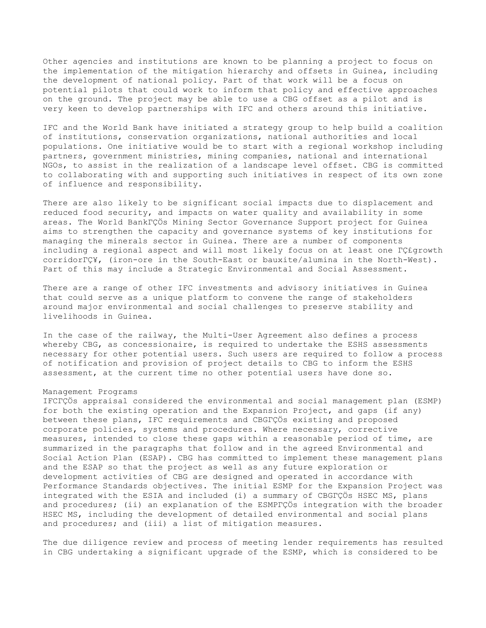Other agencies and institutions are known to be planning a project to focus on the implementation of the mitigation hierarchy and offsets in Guinea, including the development of national policy. Part of that work will be a focus on potential pilots that could work to inform that policy and effective approaches on the ground. The project may be able to use a CBG offset as a pilot and is very keen to develop partnerships with IFC and others around this initiative.

IFC and the World Bank have initiated a strategy group to help build a coalition of institutions, conservation organizations, national authorities and local populations. One initiative would be to start with a regional workshop including partners, government ministries, mining companies, national and international NGOs, to assist in the realization of a landscape level offset. CBG is committed to collaborating with and supporting such initiatives in respect of its own zone of influence and responsibility.

There are also likely to be significant social impacts due to displacement and reduced food security, and impacts on water quality and availability in some areas. The World BankΓÇÖs Mining Sector Governance Support project for Guinea aims to strengthen the capacity and governance systems of key institutions for managing the minerals sector in Guinea. There are a number of components including a regional aspect and will most likely focus on at least one ΓÇ£growth corridorΓÇ¥, (iron-ore in the South-East or bauxite/alumina in the North-West). Part of this may include a Strategic Environmental and Social Assessment.

There are a range of other IFC investments and advisory initiatives in Guinea that could serve as a unique platform to convene the range of stakeholders around major environmental and social challenges to preserve stability and livelihoods in Guinea.

In the case of the railway, the Multi-User Agreement also defines a process whereby CBG, as concessionaire, is required to undertake the ESHS assessments necessary for other potential users. Such users are required to follow a process of notification and provision of project details to CBG to inform the ESHS assessment, at the current time no other potential users have done so.

# Management Programs

IFCΓÇÖs appraisal considered the environmental and social management plan (ESMP) for both the existing operation and the Expansion Project, and gaps (if any) between these plans, IFC requirements and CBGΓÇÖs existing and proposed corporate policies, systems and procedures. Where necessary, corrective measures, intended to close these gaps within a reasonable period of time, are summarized in the paragraphs that follow and in the agreed Environmental and Social Action Plan (ESAP). CBG has committed to implement these management plans and the ESAP so that the project as well as any future exploration or development activities of CBG are designed and operated in accordance with Performance Standards objectives. The initial ESMP for the Expansion Project was integrated with the ESIA and included (i) a summary of CBGΓÇÖs HSEC MS, plans and procedures; (ii) an explanation of the ESMPΓÇÖs integration with the broader HSEC MS, including the development of detailed environmental and social plans and procedures; and (iii) a list of mitigation measures.

The due diligence review and process of meeting lender requirements has resulted in CBG undertaking a significant upgrade of the ESMP, which is considered to be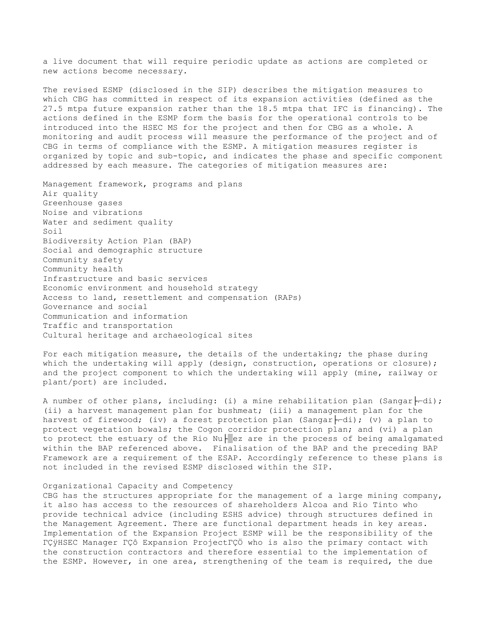a live document that will require periodic update as actions are completed or new actions become necessary.

The revised ESMP (disclosed in the SIP) describes the mitigation measures to which CBG has committed in respect of its expansion activities (defined as the 27.5 mtpa future expansion rather than the 18.5 mtpa that IFC is financing). The actions defined in the ESMP form the basis for the operational controls to be introduced into the HSEC MS for the project and then for CBG as a whole. A monitoring and audit process will measure the performance of the project and of CBG in terms of compliance with the ESMP. A mitigation measures register is organized by topic and sub-topic, and indicates the phase and specific component addressed by each measure. The categories of mitigation measures are:

Management framework, programs and plans Air quality Greenhouse gases Noise and vibrations Water and sediment quality Soil Biodiversity Action Plan (BAP) Social and demographic structure Community safety Community health Infrastructure and basic services Economic environment and household strategy Access to land, resettlement and compensation (RAPs) Governance and social Communication and information Traffic and transportation Cultural heritage and archaeological sites

For each mitigation measure, the details of the undertaking; the phase during which the undertaking will apply (design, construction, operations or closure); and the project component to which the undertaking will apply (mine, railway or plant/port) are included.

A number of other plans, including: (i) a mine rehabilitation plan (Sangar $\vdash\neg\neg$ di); (ii) a harvest management plan for bushmeat; (iii) a management plan for the harvest of firewood; (iv) a forest protection plan (Sangar $\vdash$ -di); (v) a plan to protect vegetation bowals; the Cogon corridor protection plan; and (vi) a plan to protect the estuary of the Rio Nu $\frac{1}{2}$ ez are in the process of being amalgamated within the BAP referenced above. Finalisation of the BAP and the preceding BAP Framework are a requirement of the ESAP. Accordingly reference to these plans is not included in the revised ESMP disclosed within the SIP.

#### Organizational Capacity and Competency

CBG has the structures appropriate for the management of a large mining company, it also has access to the resources of shareholders Alcoa and Rio Tinto who provide technical advice (including ESHS advice) through structures defined in the Management Agreement. There are functional department heads in key areas. Implementation of the Expansion Project ESMP will be the responsibility of the ΓÇÿHSEC Manager ΓÇô Expansion ProjectΓÇÖ who is also the primary contact with the construction contractors and therefore essential to the implementation of the ESMP. However, in one area, strengthening of the team is required, the due